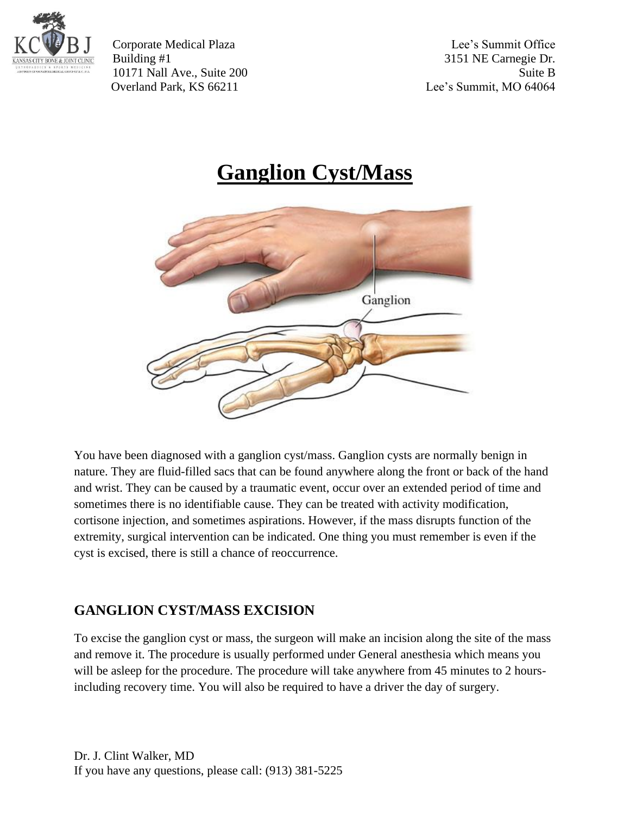

Corporate Medical Plaza Lee's Summit Office Building #1 3151 NE Carnegie Dr. 10171 Nall Ave., Suite 200 Suite B Overland Park, KS 66211 Lee's Summit, MO 64064

## **Ganglion Cyst/Mass**



You have been diagnosed with a ganglion cyst/mass. Ganglion cysts are normally benign in nature. They are fluid-filled sacs that can be found anywhere along the front or back of the hand and wrist. They can be caused by a traumatic event, occur over an extended period of time and sometimes there is no identifiable cause. They can be treated with activity modification, cortisone injection, and sometimes aspirations. However, if the mass disrupts function of the extremity, surgical intervention can be indicated. One thing you must remember is even if the cyst is excised, there is still a chance of reoccurrence.

## **GANGLION CYST/MASS EXCISION**

To excise the ganglion cyst or mass, the surgeon will make an incision along the site of the mass and remove it. The procedure is usually performed under General anesthesia which means you will be asleep for the procedure. The procedure will take anywhere from 45 minutes to 2 hoursincluding recovery time. You will also be required to have a driver the day of surgery.